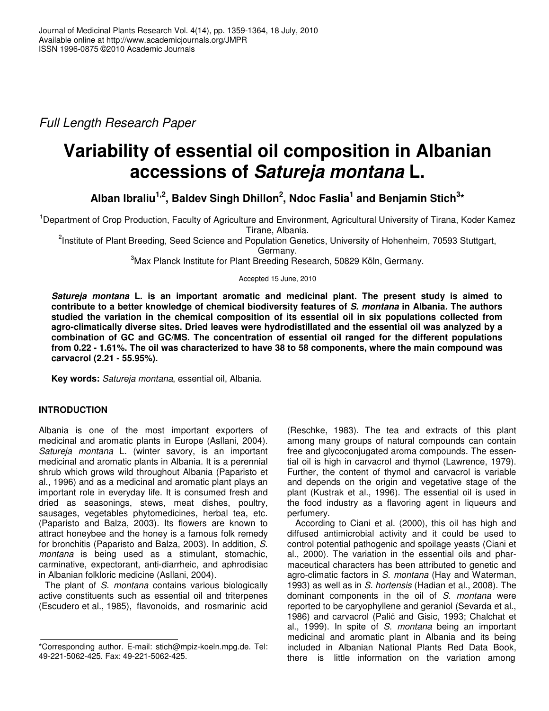*Full Length Research Paper*

# **Variability of essential oil composition in Albanian accessions of** *Satureja montana* **L.**

**Alban Ibraliu 1,2 , Baldev Singh Dhillon 2 , Ndoc Faslia 1 and Benjamin Stich 3 \***

<sup>1</sup>Department of Crop Production, Faculty of Agriculture and Environment, Agricultural University of Tirana, Koder Kamez Tirane, Albania.

<sup>2</sup>Institute of Plant Breeding, Seed Science and Population Genetics, University of Hohenheim, 70593 Stuttgart,

Germany.

<sup>3</sup>Max Planck Institute for Plant Breeding Research, 50829 Köln, Germany.

Accepted 15 June, 2010

*Satureja montana* **L. is an important aromatic and medicinal plant. The present study is aimed to contribute to a better knowledge of chemical biodiversity features of** *S. montana* **in Albania***.* **The authors studied the variation in the chemical composition of its essential oil in six populations collected from agro-climatically diverse sites. Dried leaves were hydrodistillated and the essential oil was analyzed by a combination of GC and GC/MS. The concentration of essential oil ranged for the different populations** from 0.22 - 1.61%. The oil was characterized to have 38 to 58 components, where the main compound was **carvacrol (2.21 - 55.95%).**

**Key words:** *Satureja montana*, essential oil, Albania.

# **INTRODUCTION**

Albania is one of the most important exporters of medicinal and aromatic plants in Europe (Asllani, 2004). *Satureja montana* L. (winter savory, is an important medicinal and aromatic plants in Albania. It is a perennial shrub which grows wild throughout Albania (Paparisto et al., 1996) and as a medicinal and aromatic plant plays an important role in everyday life. It is consumed fresh and dried as seasonings, stews, meat dishes, poultry, sausages, vegetables phytomedicines, herbal tea, etc. (Paparisto and Balza, 2003). Its flowers are known to attract honeybee and the honey is a famous folk remedy for bronchitis (Paparisto and Balza, 2003). In addition, *S*. *montana* is being used as a stimulant, stomachic, carminative, expectorant, anti-diarrheic, and aphrodisiac in Albanian folkloric medicine (Asllani, 2004).

The plant of *S. montana* contains various biologically active constituents such as essential oil and triterpenes (Escudero et al., 1985), flavonoids, and rosmarinic acid

(Reschke, 1983). The tea and extracts of this plant among many groups of natural compounds can contain free and glycoconjugated aroma compounds. The essential oil is high in carvacrol and thymol (Lawrence, 1979). Further, the content of thymol and carvacrol is variable and depends on the origin and vegetative stage of the plant (Kustrak et al., 1996). The essential oil is used in the food industry as a flavoring agent in liqueurs and perfumery.

According to Ciani et al. (2000), this oil has high and diffused antimicrobial activity and it could be used to control potential pathogenic and spoilage yeasts (Ciani et al., 2000). The variation in the essential oils and pharmaceutical characters has been attributed to genetic and agro-climatic factors in *S. montana* (Hay and Waterman, 1993) as well as in *S. hortensis* (Hadian et al., 2008). The dominant components in the oil of *S. montana* were reported to be caryophyllene and geraniol (Sevarda et al., 1986) and carvacrol (Palić and Gisic, 1993; Chalchat et al., 1999). In spite of *S. montana* being an important medicinal and aromatic plant in Albania and its being included in Albanian National Plants Red Data Book, there is little information on the variation among

<sup>\*</sup>Corresponding author. E-mail: stich@mpiz-koeln.mpg.de. Tel: 49-221-5062-425. Fax: 49-221-5062-425.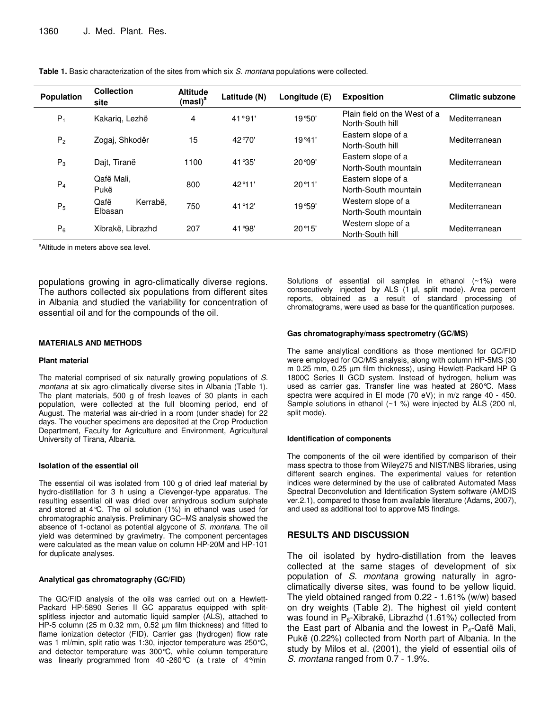| <b>Population</b> | <b>Collection</b><br>site   | <b>Altitude</b><br>(masl) <sup>a</sup> | Latitude (N)        | Longitude (E)   | <b>Exposition</b>                                | <b>Climatic subzone</b> |  |
|-------------------|-----------------------------|----------------------------------------|---------------------|-----------------|--------------------------------------------------|-------------------------|--|
| $P_1$             | Kakarig, Lezhë              | 4                                      | 41°91'              | 19°50'          | Plain field on the West of a<br>North-South hill | Mediterranean           |  |
| P <sub>2</sub>    | Zogai, Shkodër              | 15                                     | 42°70'              | 19°41'          | Eastern slope of a<br>North-South hill           | Mediterranean           |  |
| $P_3$             | Dajt, Tiranë                | 1100                                   | 41 ° 35'            | 20 ° 09'        | Eastern slope of a<br>North-South mountain       | Mediterranean           |  |
| $P_4$             | Qafë Mali,<br>Pukë          | 800                                    | 42 <sup>o</sup> 11' | 20°11'          | Eastern slope of a<br>North-South mountain       | Mediterranean           |  |
| $P_5$             | Qafë<br>Kerrabë,<br>Elbasan | 750                                    | 41 ° 12'            | 19°59'          | Western slope of a<br>North-South mountain       | Mediterranean           |  |
| $P_6$             | Xibrakë. Librazhd           | 207                                    | 41 ° 98'            | $20^{\circ}15'$ | Western slope of a<br>North-South hill           | Mediterranean           |  |

**Table 1.** Basic characterization of the sites from which six *S. montana* populations were collected.

<sup>a</sup>Altitude in meters above sea level.

populations growing in agro-climatically diverse regions. The authors collected six populations from different sites in Albania and studied the variability for concentration of essential oil and for the compounds of the oil.

#### **MATERIALS AND METHODS**

#### **Plant material**

The material comprised of six naturally growing populations of *S. montana* at six agro-climatically diverse sites in Albania (Table 1). The plant materials, 500 g of fresh leaves of 30 plants in each population, were collected at the full blooming period, end of August. The material was air-dried in a room (under shade) for 22 days. The voucher specimens are deposited at the Crop Production Department, Faculty for Agriculture and Environment, Agricultural University of Tirana, Albania.

#### **Isolation of the essential oil**

The essential oil was isolated from 100 g of dried leaf material by hydro-distillation for 3 h using a Clevenger-type apparatus. The resulting essential oil was dried over anhydrous sodium sulphate and stored at 4°C. The oil solution (1%) in ethanol was used for chromatographic analysis. Preliminary GC–MS analysis showed the absence of 1-octanol as potential algycone of *S. montana*. The oil yield was determined by gravimetry. The component percentages were calculated as the mean value on column HP-20M and HP-101 for duplicate analyses.

#### **Analytical gas chromatography (GC/FID)**

The GC/FID analysis of the oils was carried out on a Hewlett-Packard HP-5890 Series II GC apparatus equipped with splitsplitless injector and automatic liquid sampler (ALS), attached to HP-5 column (25 m 0.32 mm, 0.52 µm film thickness) and fitted to flame ionization detector (FID). Carrier gas (hydrogen) flow rate was 1 ml/min, split ratio was 1:30, injector temperature was 250°C, and detector temperature was 300°C, while column temperature was linearly programmed from 40-260°C (a trate of 4°/min

Solutions of essential oil samples in ethanol (~1%) were consecutively injected by ALS (1 µl, split mode). Area percent reports, obtained as a result of standard processing of chromatograms, were used as base for the quantification purposes.

#### **Gas chromatography/mass spectrometry (GC/MS)**

The same analytical conditions as those mentioned for GC/FID were employed for GC/MS analysis, along with column HP-5MS (30 m 0.25 mm, 0.25 µm film thickness), using Hewlett-Packard HP G 1800C Series II GCD system. Instead of hydrogen, helium was used as carrier gas. Transfer line was heated at 260°C. Mass spectra were acquired in EI mode (70 eV); in m/z range 40 - 450. Sample solutions in ethanol  $(\sim 1 \%)$  were injected by ALS (200 nl, split mode).

#### **Identification of components**

The components of the oil were identified by comparison of their mass spectra to those from Wiley275 and NIST/NBS libraries, using different search engines. The experimental values for retention indices were determined by the use of calibrated Automated Mass Spectral Deconvolution and Identification System software (AMDIS ver.2.1), compared to those from available literature (Adams, 2007), and used as additional tool to approve MS findings.

### **RESULTS AND DISCUSSION**

The oil isolated by hydro-distillation from the leaves collected at the same stages of development of six population of *S. montana* growing naturally in agroclimatically diverse sites, was found to be yellow liquid. The yield obtained ranged from 0.22 - 1.61% (w/w) based on dry weights (Table 2). The highest oil yield content was found in  $P_6$ -Xibrakë, Librazhd (1.61%) collected from the East part of Albania and the lowest in  $P_4$ -Qafë Mali, Pukë (0.22%) collected from North part of Albania. In the study by Milos et al. (2001), the yield of essential oils of *S. montana* ranged from 0.7 - 1.9%.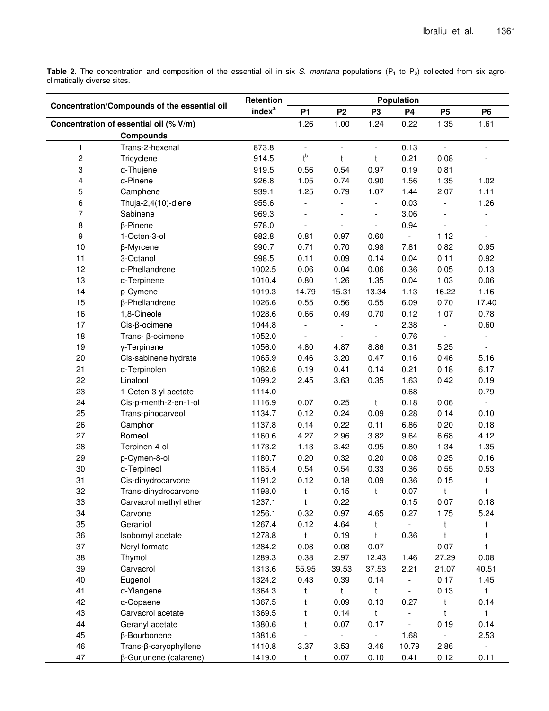**Table 2.** The concentration and composition of the essential oil in six *S. montana* populations (P<sub>1</sub> to P<sub>6</sub>) collected from six agroclimatically diverse sites.

| Concentration/Compounds of the essential oil |                        | Retention          | Population               |                          |                          |                          |                          |                          |  |
|----------------------------------------------|------------------------|--------------------|--------------------------|--------------------------|--------------------------|--------------------------|--------------------------|--------------------------|--|
|                                              |                        | index <sup>a</sup> | P <sub>1</sub>           | P <sub>2</sub>           | P <sub>3</sub>           | <b>P4</b>                | <b>P5</b>                | <b>P6</b>                |  |
| Concentration of essential oil (% V/m)       |                        |                    | 1.26                     | 1.00                     | 1.24                     | 0.22                     | 1.35                     | 1.61                     |  |
|                                              | <b>Compounds</b>       |                    |                          |                          |                          |                          |                          |                          |  |
| $\mathbf{1}$                                 | Trans-2-hexenal        | 873.8              | $\overline{\phantom{a}}$ | $\frac{1}{2}$            | $\overline{\phantom{a}}$ | 0.13                     | $\overline{a}$           | $\overline{a}$           |  |
| $\boldsymbol{2}$                             | Tricyclene             | 914.5              | $t^{\mathsf{b}}$         | t                        | t                        | 0.21                     | 0.08                     |                          |  |
| 3                                            | α-Thujene              | 919.5              | 0.56                     | 0.54                     | 0.97                     | 0.19                     | 0.81                     |                          |  |
| 4                                            | $\alpha$ -Pinene       | 926.8              | 1.05                     | 0.74                     | 0.90                     | 1.56                     | 1.35                     | 1.02                     |  |
| 5                                            | Camphene               | 939.1              | 1.25                     | 0.79                     | 1.07                     | 1.44                     | 2.07                     | 1.11                     |  |
| 6                                            | Thuja-2,4(10)-diene    | 955.6              | $\overline{\phantom{a}}$ | $\overline{\phantom{a}}$ | $\overline{\phantom{a}}$ | 0.03                     | $\overline{\phantom{a}}$ | 1.26                     |  |
| $\overline{7}$                               | Sabinene               | 969.3              |                          |                          | $\overline{a}$           | 3.06                     |                          |                          |  |
| 8                                            | β-Pinene               | 978.0              |                          |                          | $\overline{\phantom{a}}$ | 0.94                     |                          |                          |  |
| 9                                            | 1-Octen-3-ol           | 982.8              | 0.81                     | 0.97                     | 0.60                     | $\overline{\phantom{a}}$ | 1.12                     |                          |  |
| 10                                           | β-Myrcene              | 990.7              | 0.71                     | 0.70                     | 0.98                     | 7.81                     | 0.82                     | 0.95                     |  |
| 11                                           | 3-Octanol              | 998.5              | 0.11                     | 0.09                     | 0.14                     | 0.04                     | 0.11                     | 0.92                     |  |
| 12                                           | α-Phellandrene         | 1002.5             | 0.06                     | 0.04                     | 0.06                     | 0.36                     | 0.05                     | 0.13                     |  |
| 13                                           | α-Terpinene            | 1010.4             | 0.80                     | 1.26                     | 1.35                     | 0.04                     | 1.03                     | 0.06                     |  |
| 14                                           | p-Cymene               | 1019.3             | 14.79                    | 15.31                    | 13.34                    | 1.13                     | 16.22                    | 1.16                     |  |
| 15                                           | β-Phellandrene         | 1026.6             | 0.55                     | 0.56                     | 0.55                     | 6.09                     | 0.70                     | 17.40                    |  |
| 16                                           | 1,8-Cineole            | 1028.6             | 0.66                     | 0.49                     | 0.70                     | 0.12                     | 1.07                     | 0.78                     |  |
| 17                                           | Cis-ß-ocimene          | 1044.8             |                          |                          | $\overline{a}$           | 2.38                     | $\overline{\phantom{a}}$ | 0.60                     |  |
| 18                                           | Trans- ß-ocimene       | 1052.0             |                          |                          | $\overline{\phantom{a}}$ | 0.76                     |                          |                          |  |
| 19                                           | y-Terpinene            | 1056.0             | 4.80                     | 4.87                     | 8.86                     | 0.31                     | 5.25                     | $\overline{\phantom{a}}$ |  |
| 20                                           | Cis-sabinene hydrate   | 1065.9             | 0.46                     | 3.20                     | 0.47                     | 0.16                     | 0.46                     | 5.16                     |  |
| 21                                           | α-Terpinolen           | 1082.6             | 0.19                     | 0.41                     | 0.14                     | 0.21                     | 0.18                     | 6.17                     |  |
| 22                                           | Linalool               | 1099.2             | 2.45                     | 3.63                     | 0.35                     | 1.63                     | 0.42                     | 0.19                     |  |
| 23                                           | 1-Octen-3-yl acetate   | 1114.0             | $\overline{\phantom{a}}$ | $\overline{\phantom{a}}$ | $\overline{\phantom{a}}$ | 0.68                     | $\blacksquare$           | 0.79                     |  |
| 24                                           | Cis-p-menth-2-en-1-ol  | 1116.9             | 0.07                     | 0.25                     | t                        | 0.18                     | 0.06                     | $\equiv$                 |  |
| 25                                           | Trans-pinocarveol      | 1134.7             | 0.12                     | 0.24                     | 0.09                     | 0.28                     | 0.14                     | 0.10                     |  |
| 26                                           | Camphor                | 1137.8             | 0.14                     | 0.22                     | 0.11                     | 6.86                     | 0.20                     | 0.18                     |  |
| 27                                           | Borneol                | 1160.6             | 4.27                     | 2.96                     | 3.82                     | 9.64                     | 6.68                     | 4.12                     |  |
| 28                                           | Terpinen-4-ol          | 1173.2             | 1.13                     | 3.42                     | 0.95                     | 0.80                     | 1.34                     | 1.35                     |  |
| 29                                           | p-Cymen-8-ol           | 1180.7             | 0.20                     | 0.32                     | 0.20                     | 0.08                     | 0.25                     | 0.16                     |  |
| 30                                           | α-Terpineol            | 1185.4             | 0.54                     | 0.54                     | 0.33                     | 0.36                     | 0.55                     | 0.53                     |  |
| 31                                           | Cis-dihydrocarvone     | 1191.2             | 0.12                     | 0.18                     | 0.09                     | 0.36                     | 0.15                     | t                        |  |
| 32                                           | Trans-dihydrocarvone   | 1198.0             | t                        | 0.15                     | t                        | 0.07                     | t                        | t                        |  |
| 33                                           | Carvacrol methyl ether | 1237.1             | t                        | 0.22                     |                          | 0.15                     | 0.07                     | 0.18                     |  |
| 34                                           | Carvone                | 1256.1             | 0.32                     | 0.97                     | 4.65                     | 0.27                     | 1.75                     | 5.24                     |  |
| 35                                           | Geraniol               | 1267.4             | 0.12                     | 4.64                     | t                        | ÷                        | t                        | t                        |  |
| 36                                           | Isobornyl acetate      | 1278.8             | t                        | 0.19                     | t                        | 0.36                     | t                        | t                        |  |
| 37                                           | Neryl formate          | 1284.2             | 0.08                     | 0.08                     | 0.07                     | ÷.                       | 0.07                     | t                        |  |
| 38                                           | Thymol                 | 1289.3             | 0.38                     | 2.97                     | 12.43                    | 1.46                     | 27.29                    | 0.08                     |  |
| 39                                           | Carvacrol              | 1313.6             | 55.95                    | 39.53                    | 37.53                    | 2.21                     | 21.07                    | 40.51                    |  |
| 40                                           | Eugenol                | 1324.2             | 0.43                     | 0.39                     | 0.14                     | $\overline{\phantom{a}}$ | 0.17                     | 1.45                     |  |
| 41                                           | α-Ylangene             | 1364.3             | t                        | t                        | t                        | $\overline{\phantom{a}}$ | 0.13                     | t                        |  |
| 42                                           | α-Copaene              | 1367.5             | t                        | 0.09                     | 0.13                     | 0.27                     | t                        | 0.14                     |  |
| 43                                           | Carvacrol acetate      | 1369.5             | t                        | 0.14                     | $\mathsf{t}$             | $\overline{\phantom{a}}$ | t                        | t                        |  |
| 44                                           | Geranyl acetate        | 1380.6             | $\mathsf{t}$             | 0.07                     | 0.17                     | $\blacksquare$           | 0.19                     | 0.14                     |  |
| 45                                           | β-Bourbonene           | 1381.6             |                          | $\overline{\phantom{a}}$ | $\overline{\phantom{a}}$ | 1.68                     |                          | 2.53                     |  |
| 46                                           | Trans-β-caryophyllene  | 1410.8             | 3.37                     | 3.53                     | 3.46                     | 10.79                    | 2.86                     | $\overline{\phantom{a}}$ |  |
| 47                                           | β-Gurjunene (calarene) | 1419.0             | t                        | 0.07                     | 0.10                     | 0.41                     | 0.12                     | 0.11                     |  |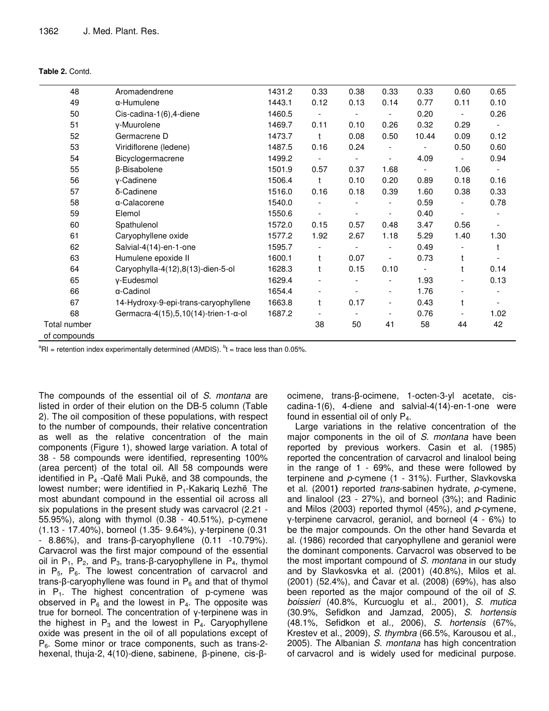| Table 2. Contd. |
|-----------------|
|-----------------|

| 48           | Aromadendrene                                     | 1431.2 | 0.33                     | 0.38 | 0.33                     | 0.33  | 0.60                     | 0.65 |
|--------------|---------------------------------------------------|--------|--------------------------|------|--------------------------|-------|--------------------------|------|
| 49           | α-Humulene                                        | 1443.1 | 0.12                     | 0.13 | 0.14                     | 0.77  | 0.11                     | 0.10 |
| 50           | Cis-cadina-1(6),4-diene                           | 1460.5 |                          |      |                          | 0.20  | $\overline{\phantom{a}}$ | 0.26 |
| 51           | y-Muurolene                                       | 1469.7 | 0.11                     | 0.10 | 0.26                     | 0.32  | 0.29                     |      |
| 52           | Germacrene D                                      | 1473.7 | $\mathsf{t}$             | 0.08 | 0.50                     | 10.44 | 0.09                     | 0.12 |
| 53           | Viridiflorene (ledene)                            | 1487.5 | 0.16                     | 0.24 |                          |       | 0.50                     | 0.60 |
| 54           | Bicyclogermacrene                                 | 1499.2 | $\overline{\phantom{a}}$ |      | $\overline{\phantom{a}}$ | 4.09  | $\overline{\phantom{a}}$ | 0.94 |
| 55           | β-Bisabolene                                      | 1501.9 | 0.57                     | 0.37 | 1.68                     |       | 1.06                     |      |
| 56           | y-Cadinene                                        | 1506.4 | $\mathbf{t}$             | 0.10 | 0.20                     | 0.89  | 0.18                     | 0.16 |
| 57           | δ-Cadinene                                        | 1516.0 | 0.16                     | 0.18 | 0.39                     | 1.60  | 0.38                     | 0.33 |
| 58           | α-Calacorene                                      | 1540.0 |                          |      |                          | 0.59  |                          | 0.78 |
| 59           | Elemol                                            | 1550.6 |                          |      | $\overline{\phantom{a}}$ | 0.40  |                          |      |
| 60           | Spathulenol                                       | 1572.0 | 0.15                     | 0.57 | 0.48                     | 3.47  | 0.56                     |      |
| 61           | Caryophyllene oxide                               | 1577.2 | 1.92                     | 2.67 | 1.18                     | 5.29  | 1.40                     | 1.30 |
| 62           | Salvial-4(14)-en-1-one                            | 1595.7 |                          |      | $\overline{\phantom{a}}$ | 0.49  |                          | t    |
| 63           | Humulene epoxide II                               | 1600.1 | t                        | 0.07 |                          | 0.73  | t                        |      |
| 64           | Caryophylla-4(12),8(13)-dien-5-ol                 | 1628.3 | t                        | 0.15 | 0.10                     |       | t                        | 0.14 |
| 65           | y-Eudesmol                                        | 1629.4 |                          |      | $\overline{\phantom{a}}$ | 1.93  | $\overline{\phantom{a}}$ | 0.13 |
| 66           | α-Cadinol                                         | 1654.4 |                          |      | $\overline{\phantom{a}}$ | 1.76  |                          |      |
| 67           | 14-Hydroxy-9-epi-trans-caryophyllene              | 1663.8 | t                        | 0.17 | $\overline{\phantom{a}}$ | 0.43  | t                        |      |
| 68           | Germacra-4(15), $5,10(14)$ -trien-1- $\alpha$ -ol | 1687.2 | $\overline{\phantom{a}}$ |      | $\overline{\phantom{a}}$ | 0.76  |                          | 1.02 |
| Total number |                                                   |        | 38                       | 50   | 41                       | 58    | 44                       | 42   |
| of compounds |                                                   |        |                          |      |                          |       |                          |      |

 ${}^{a}$ RI = retention index experimentally determined (AMDIS).  ${}^{b}$ t = trace less than 0.05%.

The compounds of the essential oil of S. montana are listed in order of their elution on the DB-5 column (Table 2). The oil composition of these populations, with respect to the number of compounds, their relative concentration as well as the relative concentration of the main components (Figure 1), showed large variation. A total of 38 - 58 compounds were identified, representing 100% (area percent) of the total oil. All 58 compounds were identified in P<sub>4</sub> - Qafë Mali Pukë, and 38 compounds, the lowest number; were identified in P<sub>1</sub>-Kakariq Lezhë<sub>.</sub> The most abundant compound in the essential oil across all six populations in the present study was carvacrol (2.21 -55.95%), along with thymol (0.38 - 40.51%), p-cymene (1.13 - 17.40%), borneol (1.35 - 9.64%), y-terpinene (0.31 - 8.86%), and trans-β-caryophyllene  $(0.11 - 10.79\%)$ . Carvacrol was the first major compound of the essential oil in  $P_1$ ,  $P_2$ , and  $P_3$ , trans- $\beta$ -caryophyllene in  $P_4$ , thymol in  $P_5$ ,  $P_6$ . The lowest concentration of carvacrol and trans- $\beta$ -caryophyllene was found in  $P_6$  and that of thymol in  $P_1$ . The highest concentration of p-cymene was observed in  $P_6$  and the lowest in  $P_4$ . The opposite was true for borneol. The concentration of y-terpinene was in the highest in  $P_3$  and the lowest in  $P_4$ . Caryophyllene oxide was present in the oil of all populations except of  $P_6$ . Some minor or trace components, such as trans-2hexenal, thuja-2,  $4(10)$ -diene, sabinene,  $\beta$ -pinene, cis- $\beta$ - ocimene, trans-β-ocimene, 1-octen-3-yl acetate, ciscadina-1(6), 4-diene and salvial-4(14)-en-1-one were found in essential oil of only  $P_4$ .

Large variations in the relative concentration of the major components in the oil of S. montana have been reported by previous workers. Casin et al. (1985) reported the concentration of carvacrol and linalool being in the range of 1 - 69%, and these were followed by terpinene and p-cymene (1 - 31%). Further, Slavkovska et al. (2001) reported trans-sabinen hydrate,  $\rho$ -cymene, and linalool (23 - 27%), and borneol (3%); and Radinic and Milos (2003) reported thymol (45%), and  $p$ -cymene,  $y$ -terpinene carvacrol, geraniol, and borneol (4 - 6%) to be the major compounds. On the other hand Sevarda et al. (1986) recorded that caryophyllene and geraniol were the dominant components. Carvacrol was observed to be the most important compound of S. montana in our study and by Slavkosvka et al. (2001) (40.8%), Milos et al. (2001) (52.4%), and Cavar et al. (2008) (69%), has also been reported as the major compound of the oil of S. boissieri (40.8%, Kurcuoglu et al., 2001), S. mutica (30.9%, Sefidkon and Jamzad, 2005), S. hortensis (48.1%, Sefidkon et al., 2006), S. hortensis (67%, Krestev et al., 2009), S. thymbra (66.5%, Karousou et al., 2005). The Albanian S. montana has high concentration of carvacrol and is widely used for medicinal purpose.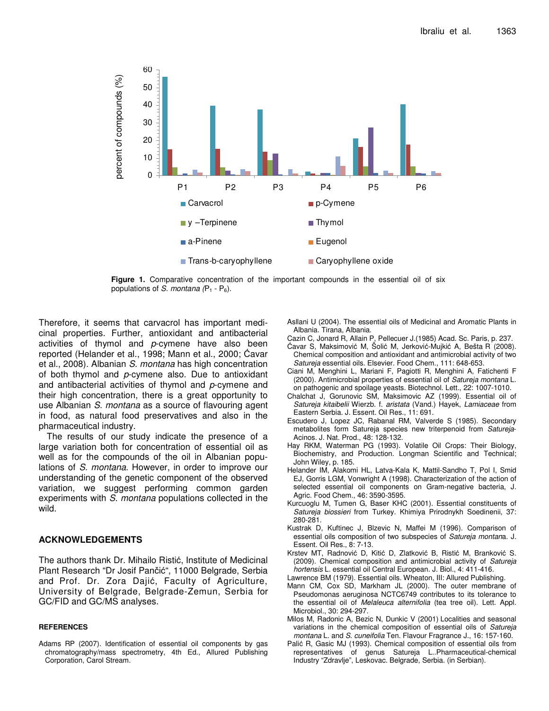

**Figure 1.** Comparative concentration of the important compounds in the essential oil of six populations of *S. montana*  $(P_1 - P_6)$ .

Therefore, it seems that carvacrol has important medicinal properties. Further, antioxidant and antibacterial activities of thymol and *p*-cymene have also been reported (Helander et al., 1998; Mann et al., 2000; Cavar et al., 2008). Albanian *S. montana* has high concentration of both thymol and *p*-cymene also. Due to antioxidant and antibacterial activities of thymol and *p*-cymene and their high concentration, there is a great opportunity to use Albanian *S. montana* as a source of flavouring agent in food, as natural food preservatives and also in the pharmaceutical industry.

The results of our study indicate the presence of a large variation both for concentration of essential oil as well as for the compounds of the oil in Albanian populations of *S. montana*. However, in order to improve our understanding of the genetic component of the observed variation, we suggest performing common garden experiments with *S. montana* populations collected in the wild.

## **ACKNOWLEDGEMENTS**

The authors thank Dr. Mihailo Ristić, Institute of Medicinal Plant Research "Dr Josif Pančić", 11000 Belgrade, Serbia and Prof. Dr. Zora Dajić, Faculty of Agriculture, University of Belgrade, Belgrade-Zemun, Serbia for GC/FID and GC/MS analyses.

#### **REFERENCES**

Adams RP (2007). Identification of essential oil components by gas chromatography/mass spectrometry, 4th Ed., Allured Publishing Corporation, Carol Stream.

Asllani U (2004). The essential oils of Medicinal and Aromatic Plants in Albania. Tirana, Albania.

- Cazin C, Jonard R, Allain P, Pellecuer J.(1985) Acad. Sc. Paris, p. 237.
- Ćavar S, Maksimović M, Šolić M, Jerković-Mujkić A, Bešta R (2008). Chemical composition and antioxidant and antimicrobial activity of two *Satureja* essential oils. Elsevier. Food Chem., 111: 648-653.
- Ciani M, Menghini L, Mariani F, Pagiotti R, Menghini A, Fatichenti F (2000). Antimicrobial properties of essential oil of *Satureja montana* L. on pathogenic and spoilage yeasts. Biotechnol. Lett., 22: 1007-1010.
- Chalchat J, Gorunovic SM, Maksimovic AZ (1999). Essential oil of *Satureja kitaibelii* Wierzb. f. *aristata* (Vand.) Hayek, *Lamiaceae* from Eastern Serbia. J. Essent. Oil Res., 11: 691.
- Escudero J, Lopez JC, Rabanal RM, Valverde S (1985). Secondary metabolites form Satureja species new triterpenoid from *Satureja*-Acinos. J. Nat. Prod., 48: 128-132.
- Hay RKM, Waterman PG (1993). Volatile Oil Crops: Their Biology, Biochemistry, and Production. Longman Scientific and Technical; John Wiley, p. 185.
- Helander IM, Alakomi HL, Latva-Kala K, Mattil-Sandho T, Pol I, Smid EJ, Gorris LGM, Vonwright A (1998). Characterization of the action of selected essential oil components on Gram-negative bacteria, J. Agric. Food Chem., 46: 3590-3595.
- Kurcuoglu M, Tumen G, Baser KHC (2001). Essential constituents of *Satureja biossieri* from Turkey. Khimiya Prirodnykh Soedinenii, 37: 280-281.
- Kustrak D, Kuftinec J, Blzevic N, Maffei M (1996). Comparison of essential oils composition of two subspecies of *Satureja montan*a. J. Essent. Oil Res., 8: 7-13.
- Krstev MT, Radnović D, Kitić D, Zlatković B, Ristić M, Branković S. (2009). Chemical composition and antimicrobial activity of *Satureja hortensis* L. essential oil Central European. J. Biol., 4: 411-416.
- Lawrence BM (1979). Essential oils. Wheaton, III: Allured Publishing.
- Mann CM, Cox SD, Markham JL (2000). The outer membrane of Pseudomonas aeruginosa NCTC6749 contributes to its tolerance to the essential oil of *Melaleuca alternifolia* (tea tree oil). Lett. Appl. Microbiol., 30: 294-297.
- Milos M, Radonic A, Bezic N, Dunkic V (2001) Localities and seasonal variations in the chemical composition of essential oils of *Satureja montana* L. and *S. cuneifolia* Ten. Flavour Fragrance J., 16: 157-160.
- Palić R, Gasic MJ (1993). Chemical composition of essential oils from representatives of genus Satureja L..Pharmaceutical-chemical Industry "Zdravlje", Leskovac. Belgrade, Serbia. (in Serbian).